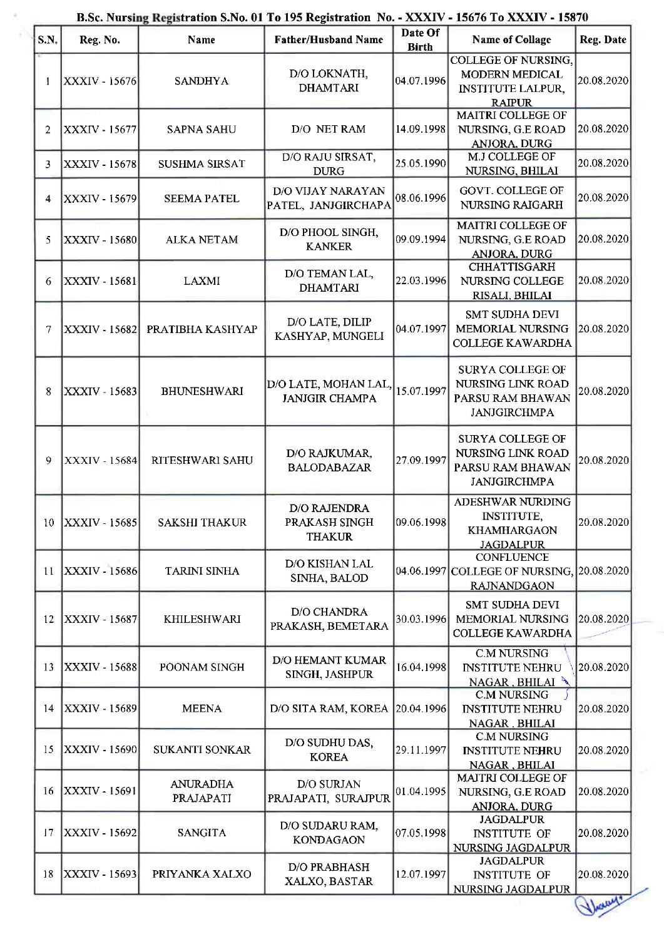| SN. | Reg. No.             | Name                         | <b>Father/Husband Name</b>                            | Date Of<br><b>Birth</b> | <b>Name of Collage</b>                                                                    | Reg. Date                 |
|-----|----------------------|------------------------------|-------------------------------------------------------|-------------------------|-------------------------------------------------------------------------------------------|---------------------------|
|     | XXXIV - 15676        | <b>SANDHYA</b>               | D/O LOKNATH,<br><b>DHAMTARI</b>                       | 04.07.1996              | <b>COLLEGE OF NURSING,</b><br>MODERN MEDICAL<br><b>INSTITUTE LALPUR,</b><br><b>RAIPUR</b> | 20.08.2020                |
| 2   | XXXIV - 15677        | <b>SAPNA SAHU</b>            | D/O NET RAM                                           | 14.09.1998              | MAITRI COLLEGE OF<br>NURSING, G.E ROAD<br>ANJORA, DURG                                    | 20.08.2020                |
| 3.  | <b>XXXIV - 15678</b> | <b>SUSHMA SIRSAT</b>         | D/O RAJU SIRSAT,<br><b>DURG</b>                       | 25.05.1990              | M.J COLLEGE OF<br>NURSING, BHILAI                                                         | $\left 20.08.2020\right $ |
| 4   | XXXIV - 15679        | <b>SEEMA PATEL</b>           | D/O VIJAY NARAYAN<br>PATEL, JANJGIRCHAPA              | 08.06.1996              | GOVT. COLLEGE OF<br>NURSING RAIGARH                                                       | 20.08.2020                |
| 5.  | XXXIV - 15680        | <b>ALKA NETAM</b>            | D/O PHOOL SINGH,<br><b>KANKER</b>                     | 09.09.1994              | <b>MAITRI COLLEGE OF</b><br>NURSING, G.E ROAD<br>ANJORA, DURG                             | 20.08.2020                |
| 6   | <b>XXXIV - 15681</b> | <b>LAXMI</b>                 | D/O TEMAN LAL,<br><b>DHAMTARI</b>                     | 22.03.1996              | <b>CHHATTISGARH</b><br>NURSING COLLEGE<br>RISALI, BHILAI                                  | 20.08.2020                |
| 7   | <b>XXXIV - 15682</b> | PRATIBHA KASHYAP             | D/O LATE, DILIP<br>KASHYAP, MUNGELI                   | 04.07.1997              | <b>SMT SUDHA DEVI</b><br><b>MEMORIAL NURSING</b><br><b>COLLEGE KAWARDHA</b>               | 20.08.2020                |
| 8   | XXXIV - 15683        | <b>BHUNESHWARI</b>           | D/O LATE, MOHAN LAL,<br><b>JANJGIR CHAMPA</b>         | 15.07.1997              | <b>SURYA COLLEGE OF</b><br>NURSING LINK ROAD<br>PARSU RAM BHAWAN<br><b>JANJGIRCHMPA</b>   | 20.08.2020                |
| 9   | <b>XXXIV - 15684</b> | RITESHWARI SAHU              | D/O RAJKUMAR,<br><b>BALODABAZAR</b>                   | 27.09.1997              | SURYA COLLEGE OF<br>NURSING LINK ROAD<br>PARSU RAM BHAWAN<br><b>JANJGIRCHMPA</b>          | 20.08.2020                |
| 10  | <b>XXXIV - 15685</b> | <b>SAKSHI THAKUR</b>         | <b>D/O RAJENDRA</b><br>PRAKASH SINGH<br><b>THAKUR</b> | 09.06.1998              | ADESHWAR NURDING<br><b>INSTITUTE,</b><br><b>KHAMHARGAON</b><br><b>JAGDALPUR</b>           | 20.08.2020                |
| 11  | <b>XXXIV - 15686</b> | <b>TARINI SINHA</b>          | D/O KISHAN LAL<br>SINHA, BALOD                        |                         | <b>CONFLUENCE</b><br>04.06.1997 COLLEGE OF NURSING.<br><b>RAJNANDGAON</b>                 | 20.08.2020                |
| 12  | <b>XXXIV - 15687</b> | <b>KHILESHWARI</b>           | D/O CHANDRA<br>PRAKASH, BEMETARA                      | 30.03.1996              | <b>SMT SUDHA DEVI</b><br>MEMORIAL NURSING<br><b>COLLEGE KAWARDHA</b>                      | 20.08.2020                |
| 13  | XXXIV - 15688        | POONAM SINGH                 | <b>D/O HEMANT KUMAR</b><br>SINGH, JASHPUR             | 16.04.1998              | <b>C.M NURSING</b><br><b>INSTITUTE NEHRU</b><br>NAGAR, BHILAI                             | 20.08.2020                |
| 14  | XXXIV - 15689        | <b>MEENA</b>                 | D/O SITA RAM, KOREA                                   | 20.04.1996              | <b>C.M NURSING</b><br><b>INSTITUTE NEHRU</b><br>NAGAR, BHILAI                             | 20.08.2020                |
| 15  | <b>XXXIV - 15690</b> | <b>SUKANTI SONKAR</b>        | D/O SUDHU DAS,<br><b>KOREA</b>                        | 29.11.1997              | <b>C.M NURSING</b><br><b>INSTITUTE NEHRU</b><br>NAGAR, BHILAI                             | 20.08.2020                |
| 16  | XXXIV - 15691        | <b>ANURADHA</b><br>PRAJAPATI | D/O SURJAN<br>PRAJAPATI, SURAJPUR                     | 01.04.1995              | MAITRI COLLEGE OF<br>NURSING, G.E ROAD<br><b>ANJORA, DURG</b>                             | 20.08.2020                |
| 17  | XXXIV - 15692        | <b>SANGITA</b>               | D/O SUDARU RAM,<br><b>KONDAGAON</b>                   | 07.05.1998              | <b>JAGDALPUR</b><br><b>INSTITUTE OF</b><br>NURSING JAGDALPUR                              | 20.08.2020                |
| 18  | XXXIV - 15693        | PRIYANKA XALXO               | D/O PRABHASH<br>XALXO, BASTAR                         | 12.07.1997              | <b>JAGDALPUR</b><br><b>INSTITUTE OF</b><br>NURSING JAGDALPUR                              | 20.08.2020                |
|     |                      |                              |                                                       |                         |                                                                                           | Dany'                     |

## B.Sc. Nursing Registration S.No. 01 To 195 Registration No. - XXXIV - 15676 To XXXIV - 15870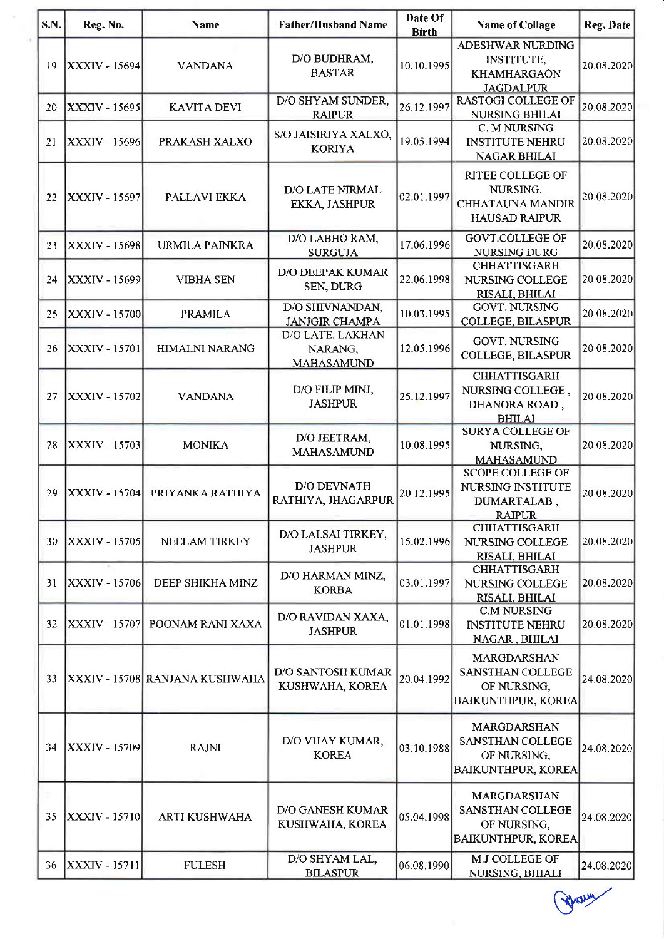| S.N. | Reg. No.             | <b>Name</b>                    | <b>Father/Husband Name</b>                  | Date Of<br><b>Birth</b> | <b>Name of Collage</b>                                                                    | Reg. Date  |
|------|----------------------|--------------------------------|---------------------------------------------|-------------------------|-------------------------------------------------------------------------------------------|------------|
| 19   | XXXIV - 15694        | <b>VANDANA</b>                 | D/O BUDHRAM,<br><b>BASTAR</b>               | 10.10.1995              | ADESHWAR NURDING<br><b>INSTITUTE,</b><br><b>KHAMHARGAON</b><br><b>JAGDALPUR</b>           | 20.08.2020 |
| 20   | XXXIV - 15695        | <b>KAVITA DEVI</b>             | D/O SHYAM SUNDER.<br><b>RAIPUR</b>          | 26.12.1997              | <b>RASTOGI COLLEGE OF</b><br><b>NURSING BHILAI</b>                                        | 20.08.2020 |
| 21   | XXXIV - 15696        | PRAKASH XALXO                  | S/O JAISIRIYA XALXO,<br><b>KORIYA</b>       | 19.05.1994              | C. M NURSING<br><b>INSTITUTE NEHRU</b><br><b>NAGAR BHILAI</b>                             | 20.08.2020 |
| 22   | XXXIV - 15697        | PALLAVI EKKA                   | <b>D/O LATE NIRMAL</b><br>EKKA, JASHPUR     | 02.01.1997              | RITEE COLLEGE OF<br>NURSING,<br><b>CHHATAUNA MANDIR</b><br><b>HAUSAD RAIPUR</b>           | 20.08.2020 |
| 23   | <b>XXXIV - 15698</b> | URMILA PAINKRA                 | D/O LABHO RAM,<br><b>SURGUJA</b>            | 17.06.1996              | <b>GOVT.COLLEGE OF</b><br>NURSING DURG                                                    | 20.08.2020 |
| 24   | XXXIV - 15699        | <b>VIBHA SEN</b>               | <b>D/O DEEPAK KUMAR</b><br>SEN, DURG        | 22.06.1998              | <b>CHHATTISGARH</b><br>NURSING COLLEGE<br>RISALI, BHILAI                                  | 20.08.2020 |
| 25   | XXXIV - 15700        | <b>PRAMILA</b>                 | D/O SHIVNANDAN,<br><b>JANJGIR CHAMPA</b>    | 10.03.1995              | <b>GOVT. NURSING</b><br><b>COLLEGE, BILASPUR</b>                                          | 20.08.2020 |
| 26   | XXXIV - 15701        | <b>HIMALNI NARANG</b>          | D/O LATE. LAKHAN<br>NARANG,<br>MAHASAMUND   | 12.05.1996              | <b>GOVT. NURSING</b><br>COLLEGE, BILASPUR                                                 | 20.08.2020 |
| 27   | XXXIV - 15702        | <b>VANDANA</b>                 | D/O FILIP MINJ,<br><b>JASHPUR</b>           | 25.12.1997              | <b>CHHATTISGARH</b><br>NURSING COLLEGE,<br>DHANORA ROAD,<br><b>BHILAI</b>                 | 20.08.2020 |
| 28   | <b>XXXIV - 15703</b> | <b>MONIKA</b>                  | D/O JEETRAM,<br><b>MAHASAMUND</b>           | 10.08.1995              | <b>SURYA COLLEGE OF</b><br>NURSING,<br><b>MAHASAMUND</b>                                  | 20.08.2020 |
| 29   | XXXIV - 15704        | PRIYANKA RATHIYA               | <b>D/O DEVNATH</b><br>RATHIYA, JHAGARPUR    | 20.12.1995              | <b>SCOPE COLLEGE OF</b><br>NURSING INSTITUTE<br>DUMARTALAB,<br><b>RAIPUR</b>              | 20.08.2020 |
| 30   | XXXIV - 15705        | NEELAM TIRKEY                  | D/O LALSAI TIRKEY,<br><b>JASHPUR</b>        | 15.02.1996              | <b>CHHATTISGARH</b><br><b>NURSING COLLEGE</b><br>RISALI, BHILAI                           | 20.08.2020 |
| 31   | XXXIV - 15706        | DEEP SHIKHA MINZ               | D/O HARMAN MINZ,<br><b>KORBA</b>            | 03.01.1997              | <b>CHHATTISGARH</b><br>NURSING COLLEGE<br>RISALI, BHILAI                                  | 20.08.2020 |
| 32   | XXXIV - 15707        | POONAM RANI XAXA               | D/O RAVIDAN XAXA,<br><b>JASHPUR</b>         | 01.01.1998              | <b>C.M NURSING</b><br><b>INSTITUTE NEHRU</b><br>NAGAR, BHILAI                             | 20.08.2020 |
| 33   |                      | XXXIV - 15708 RANJANA KUSHWAHA | <b>D/O SANTOSH KUMAR</b><br>KUSHWAHA, KOREA | 20.04.1992              | <b>MARGDARSHAN</b><br><b>SANSTHAN COLLEGE</b><br>OF NURSING,<br><b>BAIKUNTHPUR, KOREA</b> | 24.08.2020 |
| 34   | XXXIV - 15709        | <b>RAJNI</b>                   | D/O VIJAY KUMAR,<br><b>KOREA</b>            | [03.10.1988]            | MARGDARSHAN<br><b>SANSTHAN COLLEGE</b><br>OF NURSING,<br><b>BAIKUNTHPUR, KOREA</b>        | 24.08.2020 |
| 35   | XXXIV - 15710        | ARTI KUSHWAHA                  | <b>D/O GANESH KUMAR</b><br>KUSHWAHA, KOREA  | 05.04.1998              | <b>MARGDARSHAN</b><br>SANSTHAN COLLEGE<br>OF NURSING,<br><b>BAIKUNTHPUR, KOREA</b>        | 24.08.2020 |
| 36   | XXXIV - 15711        | <b>FULESH</b>                  | D/O SHYAM LAL,<br><b>BILASPUR</b>           | [06.08, 1990]           | M.J COLLEGE OF<br>NURSING, BHIALI                                                         | 24.08.2020 |

*Avenue*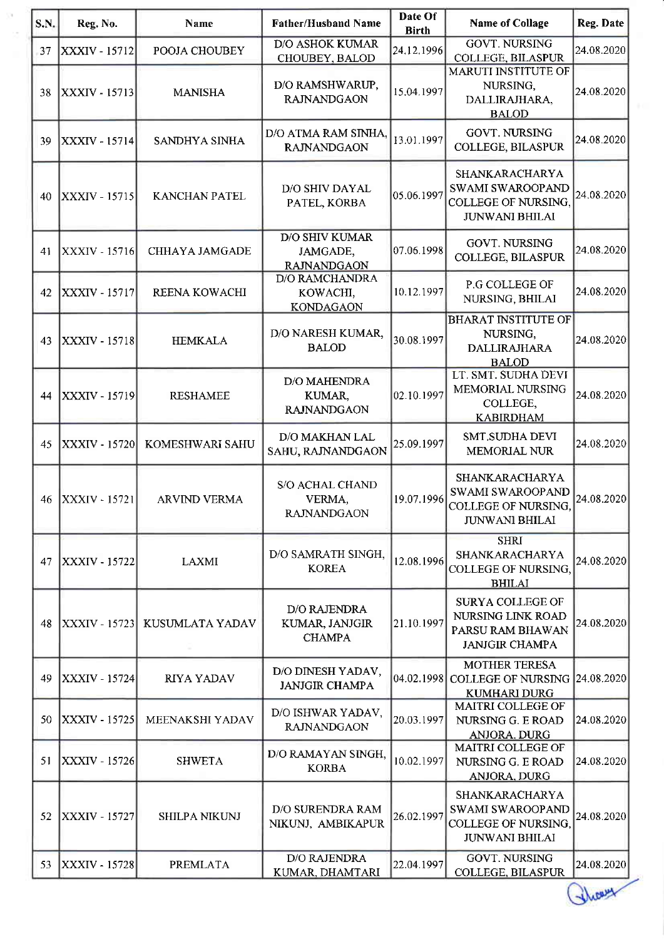| S.N. | Reg. No.               | Name                 | <b>Father/Husband Name</b>                              | Date Of<br><b>Birth</b> | <b>Name of Collage</b>                                                                           | Reg. Date  |
|------|------------------------|----------------------|---------------------------------------------------------|-------------------------|--------------------------------------------------------------------------------------------------|------------|
| 37   | XXXIV - 15712          | POOJA CHOUBEY        | <b>D/O ASHOK KUMAR</b><br>CHOUBEY, BALOD                | 24.12.1996              | <b>GOVT. NURSING</b><br>COLLEGE, BILASPUR                                                        | 24.08.2020 |
| 38   | <b>XXXIV - 15713</b>   | <b>MANISHA</b>       | D/O RAMSHWARUP,<br><b>RAJNANDGAON</b>                   | 15.04.1997              | <b>MARUTI INSTITUTE OF</b><br>NURSING,<br>DALLIRAJHARA,<br><b>BALOD</b>                          | 24.08.2020 |
| 39   | XXXIV - 15714          | SANDHYA SINHA        | D/O ATMA RAM SINHA,<br><b>RAJNANDGAON</b>               | 13.01.1997              | <b>GOVT. NURSING</b><br>COLLEGE, BILASPUR                                                        | 24.08.2020 |
| 40   | <b>XXXIV - 15715</b>   | <b>KANCHAN PATEL</b> | D/O SHIV DAYAL<br>PATEL, KORBA                          | 05.06.1997              | SHANKARACHARYA<br><b>SWAMI SWAROOPAND</b><br><b>COLLEGE OF NURSING.</b><br><b>JUNWANI BHILAI</b> | 24.08.2020 |
| 41   | XXXIV - 15716          | CHHAYA JAMGADE       | <b>D/O SHIV KUMAR</b><br>JAMGADE,<br><b>RAJNANDGAON</b> | 07.06.1998              | <b>GOVT. NURSING</b><br><b>COLLEGE, BILASPUR</b>                                                 | 24.08.2020 |
| 42   | XXXIV - 15717          | REENA KOWACHI        | <b>D/O RAMCHANDRA</b><br>KOWACHI,<br><b>KONDAGAON</b>   | 10.12.1997              | P.G COLLEGE OF<br>NURSING, BHILAI                                                                | 24.08.2020 |
| 43   | XXXIV - 15718          | <b>HEMKALA</b>       | D/O NARESH KUMAR,<br><b>BALOD</b>                       | 30.08.1997              | <b>BHARAT INSTITUTE OF</b><br>NURSING,<br><b>DALLIRAJHARA</b><br><b>BALOD</b>                    | 24.08.2020 |
| 44   | XXXIV - 15719          | <b>RESHAMEE</b>      | <b>D/O MAHENDRA</b><br>KUMAR,<br><b>RAJNANDGAON</b>     | 02.10.1997              | LT. SMT. SUDHA DEVI<br>MEMORIAL NURSING<br>COLLEGE,<br><b>KABIRDHAM</b>                          | 24.08.2020 |
| 45   | XXXIV - 15720          | KOMESHWARI SAHU      | D/O MAKHAN LAL<br>SAHU, RAJNANDGAON                     | 25.09.1997              | SMT.SUDHA DEVI<br>MEMORIAL NUR                                                                   | 24.08.2020 |
| 46   | <b>XXXIV - 15721</b>   | <b>ARVIND VERMA</b>  | <b>S/O ACHAL CHAND</b><br>VERMA,<br><b>RAJNANDGAON</b>  | 19.07.1996              | <b>SHANKARACHARYA</b><br>SWAMI SWAROOPAND<br>COLLEGE OF NURSING,<br><b>JUNWANI BHILAI</b>        | 24.08.2020 |
| 47   | <b>XXXIV - 15722</b>   | <b>LAXMI</b>         | D/O SAMRATH SINGH,<br><b>KOREA</b>                      | 12.08.1996              | <b>SHRI</b><br>SHANKARACHARYA<br><b>COLLEGE OF NURSING,</b><br><b>BHILAI</b>                     | 24.08.2020 |
| 48   | XXXIV - 15723 <b> </b> | KUSUMLATA YADAV      | D/O RAJENDRA<br>KUMAR, JANJGIR<br><b>CHAMPA</b>         | 21.10.1997              | <b>SURYA COLLEGE OF</b><br>NURSING LINK ROAD<br>PARSU RAM BHAWAN<br><b>JANJGIR CHAMPA</b>        | 24.08.2020 |
| 49   | XXXIV - 15724          | RIYA YADAV           | D/O DINESH YADAV,<br><b>JANJGIR CHAMPA</b>              |                         | <b>MOTHER TERESA</b><br>04.02.1998 COLLEGE OF NURSING 24.08.2020<br><b>KUMHARI DURG</b>          |            |
| 50   | XXXIV - 15725          | MEENAKSHI YADAV      | D/O ISHWAR YADAV,<br><b>RAJNANDGAON</b>                 | 20.03.1997              | MAITRI COLLEGE OF<br>NURSING G. E ROAD<br><b>ANJORA, DURG</b>                                    | 24.08.2020 |
| 51   | XXXIV - 15726          | <b>SHWETA</b>        | D/O RAMAYAN SINGH,<br><b>KORBA</b>                      | 10.02.1997              | <b>MAITRI COLLEGE OF</b><br>NURSING G. E ROAD<br><b>ANJORA, DURG</b>                             | 24.08.2020 |
| 52   | XXXIV - 15727          | <b>SHILPA NIKUNJ</b> | D/O SURENDRA RAM<br>NIKUNJ, AMBIKAPUR                   | 26.02.1997              | <b>SHANKARACHARYA</b><br>SWAMI SWAROOPAND<br>COLLEGE OF NURSING,<br><b>JUNWANI BHILAI</b>        | 24.08.2020 |
| 53   | XXXIV - 15728          | <b>PREMLATA</b>      | <b>D/O RAJENDRA</b><br>KUMAR, DHAMTARI                  | 22.04.1997              | <b>GOVT. NURSING</b><br><b>COLLEGE, BILASPUR</b>                                                 | 24.08.2020 |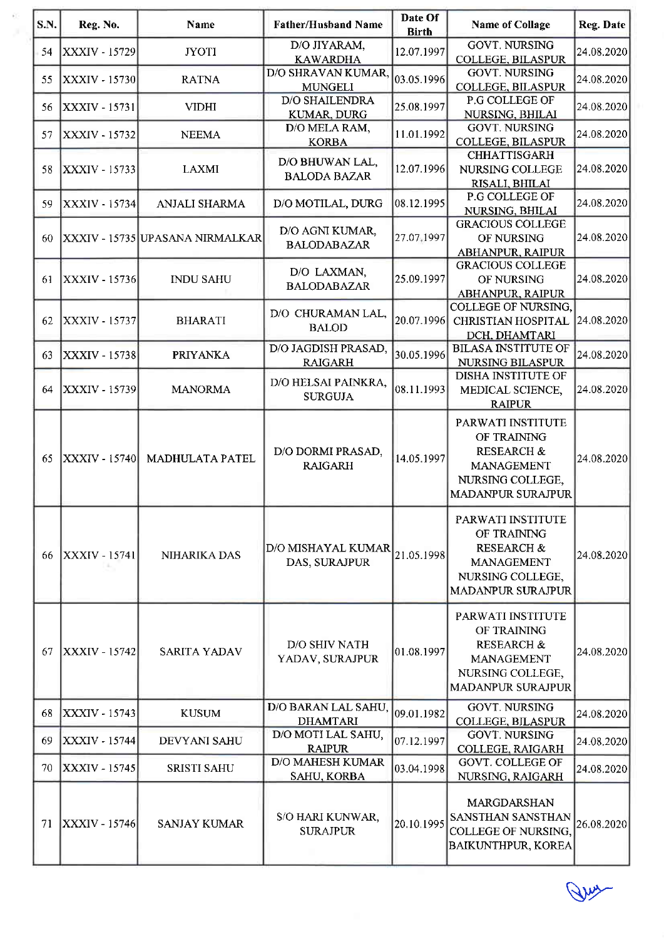| <b>S.N.</b> | Reg. No.             | Name                            | <b>Father/Husband Name</b>                 | Date Of<br><b>Birth</b> | <b>Name of Collage</b>                                                                                                         | Reg. Date  |
|-------------|----------------------|---------------------------------|--------------------------------------------|-------------------------|--------------------------------------------------------------------------------------------------------------------------------|------------|
| 54          | XXXIV - 15729        | <b>JYOTI</b>                    | D/O JIYARAM,<br><b>KAWARDHA</b>            | 12.07.1997              | <b>GOVT. NURSING</b><br>COLLEGE, BILASPUR                                                                                      | 24.08.2020 |
| 55          | XXXIV - 15730        | <b>RATNA</b>                    | D/O SHRAVAN KUMAR,<br><b>MUNGELI</b>       | 03.05.1996              | <b>GOVT. NURSING</b><br>COLLEGE, BILASPUR                                                                                      | 24.08.2020 |
| 56          | XXXIV - 15731        | <b>VIDHI</b>                    | <b>D/O SHAILENDRA</b><br>KUMAR, DURG       | 25.08.1997              | P.G COLLEGE OF<br>NURSING, BHILAI                                                                                              | 24.08.2020 |
| 57          | <b>XXXIV - 15732</b> | <b>NEEMA</b>                    | D/O MELA RAM,<br><b>KORBA</b>              | 11.01.1992              | <b>GOVT, NURSING</b><br><b>COLLEGE, BILASPUR</b>                                                                               | 24.08.2020 |
| 58          | XXXIV - 15733        | <b>LAXMI</b>                    | D/O BHUWAN LAL,<br><b>BALODA BAZAR</b>     | 12.07.1996              | <b>CHHATTISGARH</b><br>NURSING COLLEGE<br>RISALI, BHILAI                                                                       | 24.08.2020 |
| 59          | XXXIV - 15734        | ANJALI SHARMA                   | D/O MOTILAL, DURG                          | [08.12.1995]            | P.G COLLEGE OF<br>NURSING, BHILAI                                                                                              | 24.08.2020 |
| 60          |                      | XXXIV - 15735 UPASANA NIRMALKAR | D/O AGNI KUMAR,<br><b>BALODABAZAR</b>      | 27.07,1997              | <b>GRACIOUS COLLEGE</b><br>OF NURSING<br>ABHANPUR, RAIPUR                                                                      | 24.08.2020 |
| 61          | <b>XXXIV - 15736</b> | <b>INDU SAHU</b>                | D/O LAXMAN,<br><b>BALODABAZAR</b>          | 25.09.1997              | <b>GRACIOUS COLLEGE</b><br>OF NURSING<br>ABHANPUR, RAIPUR                                                                      | 24.08.2020 |
| 62          | <b>XXXIV - 15737</b> | <b>BHARATI</b>                  | D/O CHURAMAN LAL,<br><b>BALOD</b>          | 20.07.1996              | <b>COLLEGE OF NURSING,</b><br><b>CHRISTIAN HOSPITAL</b><br>DCH. DHAMTARI                                                       | 24.08.2020 |
| 63          | <b>XXXIV - 15738</b> | <b>PRIYANKA</b>                 | D/O JAGDISH PRASAD,<br><b>RAIGARH</b>      | 30.05.1996              | <b>BILASA INSTITUTE OF</b><br>NURSING BILASPUR                                                                                 | 24.08.2020 |
| 64          | XXXIV - 15739        | <b>MANORMA</b>                  | D/O HELSAI PAINKRA,<br><b>SURGUJA</b>      | 08.11.1993              | <b>DISHA INSTITUTE OF</b><br>MEDICAL SCIENCE,<br><b>RAIPUR</b>                                                                 | 24.08.2020 |
| 65          | XXXIV - 15740        | MADHULATA PATEL                 | D/O DORMI PRASAD,<br><b>RAIGARH</b>        | 14.05.1997              | PARWATI INSTITUTE<br>OF TRAINING<br><b>RESEARCH &amp;</b><br><b>MANAGEMENT</b><br>NURSING COLLEGE,<br><b>MADANPUR SURAJPUR</b> | 24.08.2020 |
| 66          | XXXIV - 15741        | NIHARIKA DAS                    | <b>D/O MISHAYAL KUMAR</b><br>DAS, SURAJPUR | 21.05.1998              | PARWATI INSTITUTE<br>OF TRAINING<br><b>RESEARCH &amp;</b><br><b>MANAGEMENT</b><br>NURSING COLLEGE,<br><b>MADANPUR SURAJPUR</b> | 24.08.2020 |
| 67          | XXXIV - 15742        | SARITA YADAV                    | D/O SHIV NATH<br>YADAV, SURAJPUR           | [01.08.1997]            | PARWATI INSTITUTE<br>OF TRAINING<br><b>RESEARCH &amp;</b><br>MANAGEMENT<br>NURSING COLLEGE,<br><b>MADANPUR SURAJPUR</b>        | 24.08.2020 |
| 68          | XXXIV - 15743        | <b>KUSUM</b>                    | D/O BARAN LAL SAHU,<br><b>DHAMTARI</b>     | 09.01.1982              | <b>GOVT. NURSING</b><br><b>COLLEGE, BILASPUR</b>                                                                               | 24.08.2020 |
| 69          | XXXIV - 15744        | DEVYANI SAHU                    | D/O MOTI LAL SAHU,<br><b>RAIPUR</b>        | 07.12.1997              | <b>GOVT. NURSING</b><br><b>COLLEGE, RAIGARH</b>                                                                                | 24.08.2020 |
| 70          | <b>XXXIV - 15745</b> | <b>SRISTI SAHU</b>              | <b>D/O MAHESH KUMAR</b><br>SAHU, KORBA     | 03.04.1998              | <b>GOVT. COLLEGE OF</b><br>NURSING, RAIGARH                                                                                    | 24.08.2020 |
| 71          | <b>XXXIV</b> - 15746 | <b>SANJAY KUMAR</b>             | S/O HARI KUNWAR,<br><b>SURAJPUR</b>        | 20.10.1995              | MARGDARSHAN<br><b>SANSTHAN SANSTHAN</b><br><b>COLLEGE OF NURSING,</b><br><b>BAIKUNTHPUR, KOREA</b>                             | 26.08.2020 |

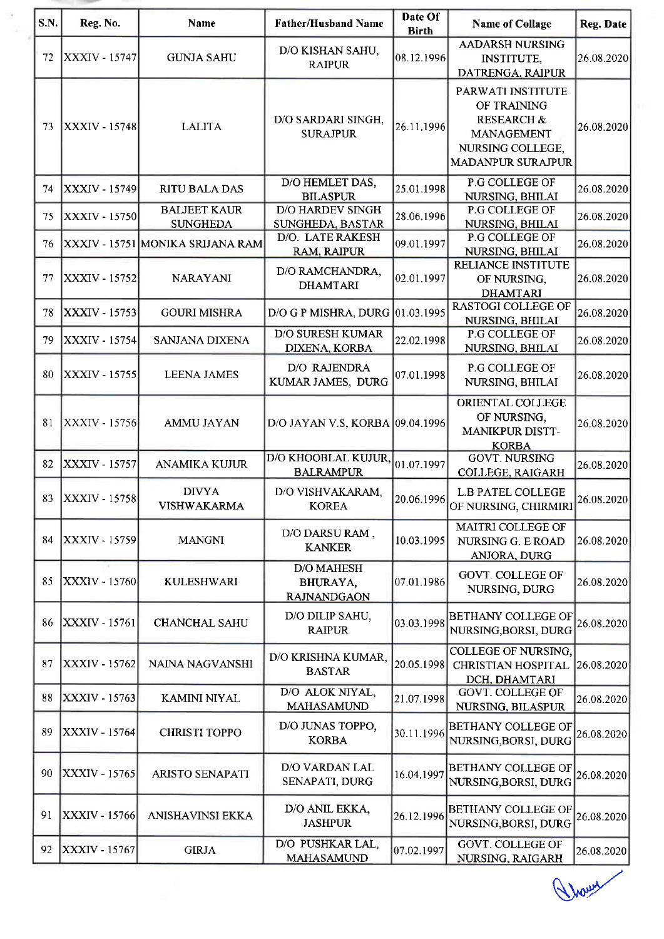| ٠ |  |
|---|--|
|   |  |
|   |  |

| S.N. | Reg. No.             | <b>Name</b>                            | <b>Father/Husband Name</b>                          | Date Of<br><b>Birth</b> | <b>Name of Collage</b>                                                                                                  | <b>Reg. Date</b> |
|------|----------------------|----------------------------------------|-----------------------------------------------------|-------------------------|-------------------------------------------------------------------------------------------------------------------------|------------------|
| 72   | <b>XXXIV - 15747</b> | <b>GUNJA SAHU</b>                      | D/O KISHAN SAHU,<br><b>RAIPUR</b>                   | 08.12.1996              | <b>AADARSH NURSING</b><br><b>INSTITUTE,</b><br>DATRENGA, RAIPUR                                                         | 26.08.2020       |
| 73   | <b>XXXIV - 15748</b> | <b>LALITA</b>                          | D/O SARDARI SINGH,<br><b>SURAJPUR</b>               | 26.11.1996              | PARWATI INSTITUTE<br>OF TRAINING<br><b>RESEARCH &amp;</b><br>MANAGEMENT<br>NURSING COLLEGE,<br><b>MADANPUR SURAJPUR</b> | 26.08.2020       |
| 74   | XXXIV - 15749        | <b>RITU BALA DAS</b>                   | D/O HEMLET DAS,<br><b>BILASPUR</b>                  | 25.01.1998              | P.G COLLEGE OF<br>NURSING, BHILAI                                                                                       | 26.08.2020       |
| 75   | <b>XXXIV - 15750</b> | <b>BALJEET KAUR</b><br><b>SUNGHEDA</b> | D/O HARDEV SINGH<br>SUNGHEDA, BASTAR                | 28.06.1996              | P.G COLLEGE OF<br>NURSING, BHILAI                                                                                       | 26.08.2020       |
| 76   |                      | XXXIV - 15751  MONIKA SRIJANA RAM      | D/O. LATE RAKESH<br><b>RAM, RAIPUR</b>              | 09.01.1997              | P.G COLLEGE OF<br>NURSING, BHILAI                                                                                       | 26.08.2020       |
| 77   | XXXIV - 15752        | <b>NARAYANI</b>                        | D/O RAMCHANDRA,<br><b>DHAMTARI</b>                  | 02.01.1997              | <b>RELIANCE INSTITUTE</b><br>OF NURSING,<br><b>DHAMTARI</b>                                                             | 26.08.2020       |
| 78   | XXXIV - 15753        | <b>GOURI MISHRA</b>                    | D/O G P MISHRA, DURG 01.03.1995                     |                         | <b>RASTOGI COLLEGE OF</b><br>NURSING, BHILAI                                                                            | 26.08.2020       |
| 79   | <b>XXXIV - 15754</b> | <b>SANJANA DIXENA</b>                  | <b>D/O SURESH KUMAR</b><br>DIXENA, KORBA            | 22.02.1998              | P.G COLLEGE OF<br>NURSING, BHILAI                                                                                       | 26.08.2020       |
| 80   | XXXIV - 15755        | <b>LEENA JAMES</b>                     | D/O RAJENDRA<br>KUMAR JAMES, DURG                   | 07.01.1998              | P.G COLLEGE OF<br>NURSING, BHILAI                                                                                       | 26.08.2020       |
| 81   | <b>XXXIV - 15756</b> | <b>AMMU JAYAN</b>                      | D/O JAYAN V.S, KORBA 09.04.1996                     |                         | ORIENTAL COLLEGE<br>OF NURSING,<br><b>MANIKPUR DISTT-</b><br><b>KORBA</b>                                               | 26.08.2020       |
| 82   | XXXIV - 15757        | ANAMIKA KUJUR                          | D/O KHOOBLAL KUJUR,<br><b>BALRAMPUR</b>             | 01.07.1997              | <b>GOVT. NURSING</b><br><b>COLLEGE, RAIGARH</b>                                                                         | 26.08.2020       |
| 83   | <b>XXXIV - 15758</b> | <b>DIVYA</b><br><b>VISHWAKARMA</b>     | D/O VISHVAKARAM,<br><b>KOREA</b>                    | 20.06.1996              | <b>L.B PATEL COLLEGE</b><br>OF NURSING, CHIRMIRI                                                                        | [26.08.2020]     |
| 84   | XXXIV - 15759        | <b>MANGNI</b>                          | D/O DARSU RAM,<br><b>KANKER</b>                     | 10.03.1995              | MAITRI COLLEGE OF<br>NURSING G. E ROAD<br><b>ANJORA, DURG</b>                                                           | 26.08.2020       |
| 85   | XXXIV - 15760        | <b>KULESHWARI</b>                      | <b>D/O MAHESH</b><br>BHURAYA,<br><b>RAJNANDGAON</b> | 07.01.1986              | GOVT. COLLEGE OF<br><b>NURSING, DURG</b>                                                                                | 26.08.2020       |
| 86   | <b>XXXIV - 15761</b> | CHANCHAL SAHU                          | D/O DILIP SAHU,<br><b>RAIPUR</b>                    | 03.03.1998              | <b>BETHANY COLLEGE OF</b><br>NURSING, BORSI, DURG                                                                       | 26.08.2020       |
| 87   | XXXIV - 15762        | NAINA NAGVANSHI                        | D/O KRISHNA KUMAR,<br><b>BASTAR</b>                 | 20.05.1998              | COLLEGE OF NURSING,<br><b>CHRISTIAN HOSPITAL</b><br>DCH, DHAMTARI                                                       | 26.08.2020       |
| 88   | XXXIV - 15763        | <b>KAMINI NIYAL</b>                    | D/O ALOK NIYAL,<br><b>MAHASAMUND</b>                | 21.07.1998              | GOVT. COLLEGE OF<br><b>NURSING, BILASPUR</b>                                                                            | 26.08.2020       |
| 89   | XXXIV - 15764        | <b>CHRISTI TOPPO</b>                   | D/O JUNAS TOPPO,<br><b>KORBA</b>                    | 30.11.1996              | <b>BETHANY COLLEGE OF</b><br>NURSING, BORSI, DURG                                                                       | 26.08.2020       |
| 90   | <b>XXXIV - 15765</b> | ARISTO SENAPATI                        | D/O VARDAN LAL<br>SENAPATI, DURG                    | 16.04.1997              | <b>BETHANY COLLEGE OF</b><br>NURSING, BORSI, DURG                                                                       | 26.08.2020       |
| 91   | <b>XXXIV - 15766</b> | ANISHAVINSI EKKA                       | D/O ANIL EKKA,<br><b>JASHPUR</b>                    | 26.12.1996              | <b>BETHANY COLLEGE OF</b><br>NURSING, BORSI, DURG                                                                       | 26.08.2020       |
| 92   | XXXIV - 15767        | <b>GIRJA</b>                           | D/O PUSHKAR LAL,<br><b>MAHASAMUND</b>               | 07.02.1997              | <b>GOVT. COLLEGE OF</b><br>NURSING, RAIGARH                                                                             | 26.08.2020       |

A hours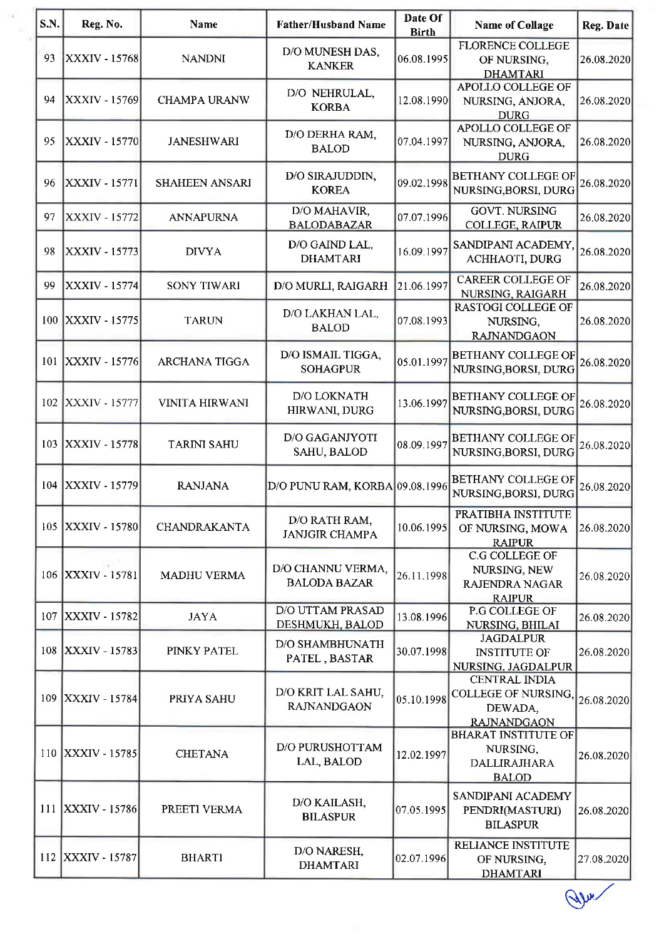| S.N. | Reg. No.             | <b>Name</b>           | <b>Father/Husband Name</b>               | Date Of<br><b>Birth</b> | <b>Name of Collage</b>                                                              | Reg. Date  |
|------|----------------------|-----------------------|------------------------------------------|-------------------------|-------------------------------------------------------------------------------------|------------|
| 93   | <b>XXXIV - 15768</b> | <b>NANDNI</b>         | D/O MUNESH DAS,<br><b>KANKER</b>         | 06.08.1995              | <b>FLORENCE COLLEGE</b><br>OF NURSING,<br><b>DHAMTARI</b>                           | 26.08.2020 |
| 94   | XXXIV - 15769        | <b>CHAMPA URANW</b>   | D/O NEHRULAL,<br><b>KORBA</b>            | 12.08.1990              | <b>APOLLO COLLEGE OF</b><br>NURSING, ANJORA,<br><b>DURG</b>                         | 26.08.2020 |
| 95   | XXXIV - 15770        | <b>JANESHWARI</b>     | D/O DERHA RAM,<br><b>BALOD</b>           | 07.04.1997              | <b>APOLLO COLLEGE OF</b><br>NURSING, ANJORA,<br><b>DURG</b>                         | 26.08.2020 |
| 96   | XXXIV - 15771        | SHAHEEN ANSARI        | D/O SIRAJUDDIN,<br><b>KOREA</b>          | 09.02.1998              | <b>BETHANY COLLEGE OF</b><br>NURSING, BORSI, DURG                                   | 26.08.2020 |
| 97   | XXXIV - 15772        | <b>ANNAPURNA</b>      | D/O MAHAVIR,<br><b>BALODABAZAR</b>       | 07.07.1996              | <b>GOVT. NURSING</b><br><b>COLLEGE, RAIPUR</b>                                      | 26.08.2020 |
| 98   | <b>XXXIV - 15773</b> | <b>DIVYA</b>          | D/O GAIND LAL,<br><b>DHAMTARI</b>        | 16.09.1997              | SANDIPANI ACADEMY,<br>ACHHAOTI, DURG                                                | 26.08.2020 |
| 99   | XXXIV - 15774        | <b>SONY TIWARI</b>    | D/O MURLI, RAIGARH                       | 21.06.1997              | <b>CAREER COLLEGE OF</b><br>NURSING, RAIGARH                                        | 26.08.2020 |
| 100  | <b>XXXIV - 15775</b> | <b>TARUN</b>          | D/O LAKHAN LAL,<br><b>BALOD</b>          | 07.08.1993              | <b>RASTOGI COLLEGE OF</b><br>NURSING,<br><b>RAJNANDGAON</b>                         | 26.08.2020 |
| 101  | <b>XXXIV - 15776</b> | <b>ARCHANA TIGGA</b>  | D/O ISMAIL TIGGA,<br><b>SOHAGPUR</b>     | 05.01.1997              | <b>BETHANY COLLEGE OF</b><br>NURSING, BORSI, DURG                                   | 26.08.2020 |
| 102  | XXXIV - 15777        | <b>VINITA HIRWANI</b> | D/O LOKNATH<br>HIRWANI, DURG             | 13.06.1997              | <b>BETHANY COLLEGE OF</b><br>NURSING, BORSI, DURG                                   | 26.08.2020 |
| 103  | <b>XXXIV - 15778</b> | <b>TARINI SAHU</b>    | D/O GAGANJYOTI<br>SAHU, BALOD            | 08.09.1997              | <b>BETHANY COLLEGE OF</b><br>NURSING, BORSI, DURG                                   | 26.08.2020 |
| 104  | XXXIV - 15779        | <b>RANJANA</b>        | D/O PUNU RAM, KORBA 09.08.1996           |                         | <b>BETHANY COLLEGE OF</b><br>NURSING, BORSI, DURG                                   | 26.08.2020 |
| 105  | <b>XXXIV - 15780</b> | CHANDRAKANTA          | D/O RATH RAM,<br><b>JANJGIR CHAMPA</b>   | 10.06.1995              | PRATIBHA INSTITUTE<br>OF NURSING, MOWA<br><b>RAIPUR</b>                             | 26.08.2020 |
|      | 106 XXXIV - 15781    | MADHU VERMA           | D/O CHANNU VERMA,<br><b>BALODA BAZAR</b> | 26.11.1998              | <b>C.G COLLEGE OF</b><br>NURSING, NEW<br><b>RAJENDRA NAGAR</b><br><b>RAIPUR</b>     | 26.08.2020 |
| 107  | XXXIV - 15782        | <b>JAYA</b>           | D/O UTTAM PRASAD<br>DESHMUKH, BALOD      | 13.08.1996              | P.G COLLEGE OF<br>NURSING, BHILAI                                                   | 26.08.2020 |
| 108  | <b>XXXIV - 15783</b> | PINKY PATEL           | D/O SHAMBHUNATH<br>PATEL, BASTAR         | 30.07.1998              | <b>JAGDALPUR</b><br><b>INSTITUTE OF</b><br>NURSING, JAGDALPUR                       | 26.08.2020 |
| 109  | <b>XXXIV - 15784</b> | PRIYA SAHU            | D/O KRIT LAL SAHU,<br><b>RAJNANDGAON</b> | 05.10.1998              | <b>CENTRAL INDIA</b><br><b>COLLEGE OF NURSING.</b><br>DEWADA,<br><b>RAJNANDGAON</b> | 26.08.2020 |
| 110  | <b>XXXIV - 15785</b> | <b>CHETANA</b>        | D/O PURUSHOTTAM<br>LAL, BALOD            | 12.02.1997              | <b>BHARAT INSTITUTE OF</b><br>NURSING,<br><b>DALLIRAJHARA</b><br><b>BALOD</b>       | 26.08.2020 |
| 111  | $ XXXIV - 15786 $    | PREETI VERMA          | D/O KAILASH,<br><b>BILASPUR</b>          | 07.05.1995              | SANDIPANI ACADEMY<br>PENDRI(MASTURI)<br><b>BILASPUR</b>                             | 26.08.2020 |
|      | 112 XXXIV - 15787    | <b>BHARTI</b>         | D/O NARESH,<br><b>DHAMTARI</b>           | 02.07.1996              | RELIANCE INSTITUTE<br>OF NURSING,<br><b>DHAMTARI</b>                                | 27.08.2020 |
|      |                      |                       |                                          |                         |                                                                                     |            |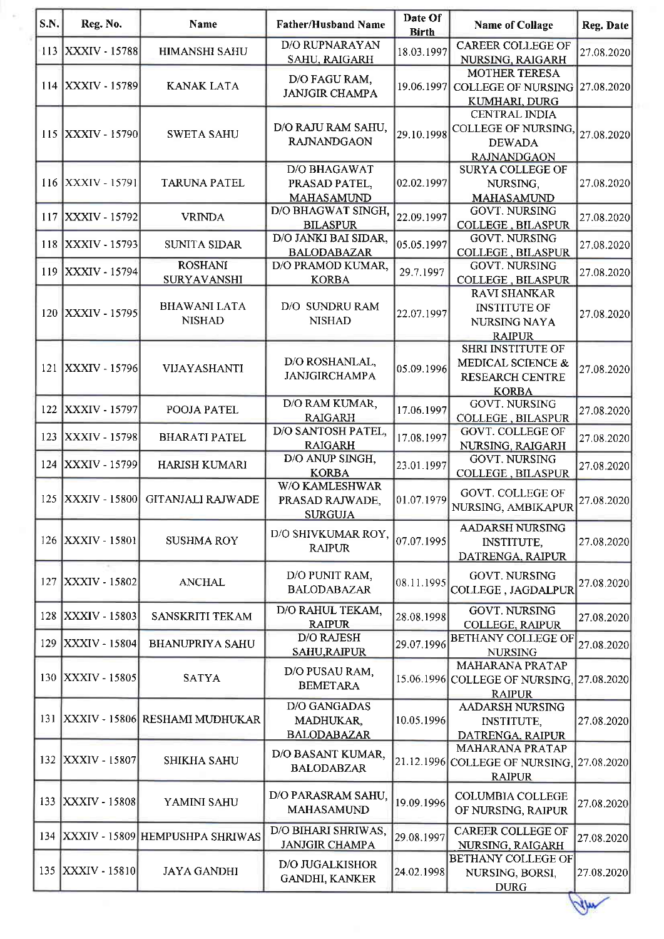| S.N. | Reg. No.             | <b>Name</b>                          | <b>Father/Husband Name</b>                                | Date Of<br><b>Birth</b> | <b>Name of Collage</b>                                                                   | Reg. Date                 |
|------|----------------------|--------------------------------------|-----------------------------------------------------------|-------------------------|------------------------------------------------------------------------------------------|---------------------------|
| 113  | <b>XXXIV - 15788</b> | <b>HIMANSHI SAHU</b>                 | <b>D/O RUPNARAYAN</b><br>SAHU, RAIGARH                    | 18.03.1997              | <b>CAREER COLLEGE OF</b><br>NURSING, RAIGARH                                             | 27.08.2020                |
| 114  | <b>XXXIV - 15789</b> | <b>KANAK LATA</b>                    | D/O FAGU RAM,<br><b>JANJGIR CHAMPA</b>                    | 19.06.1997              | <b>MOTHER TERESA</b><br><b>COLLEGE OF NURSING</b><br>KUMHARI, DURG                       | $\left 27.08.2020\right $ |
| 115  | <b>XXXIV - 15790</b> | <b>SWETA SAHU</b>                    | D/O RAJU RAM SAHU,<br><b>RAJNANDGAON</b>                  | 29.10.1998              | <b>CENTRAL INDIA</b><br><b>COLLEGE OF NURSING</b><br><b>DEWADA</b><br><b>RAJNANDGAON</b> | 27.08.2020                |
| 116  | <b>XXXIV - 15791</b> | <b>TARUNA PATEL</b>                  | <b>D/O BHAGAWAT</b><br>PRASAD PATEL,<br><b>MAHASAMUND</b> | 02.02.1997              | <b>SURYA COLLEGE OF</b><br>NURSING,<br><b>MAHASAMUND</b>                                 | 27.08.2020                |
| 117  | XXXIV - 15792        | <b>VRINDA</b>                        | D/O BHAGWAT SINGH,<br><b>BILASPUR</b>                     | 22.09.1997              | <b>GOVT. NURSING</b><br><b>COLLEGE, BILASPUR</b>                                         | 27.08.2020                |
| 118  | XXXIV - 15793        | <b>SUNITA SIDAR</b>                  | D/O JANKI BAI SIDAR,<br><b>BALODABAZAR</b>                | 05.05.1997              | <b>GOVT. NURSING</b><br>COLLEGE, BILASPUR                                                | 27.08.2020                |
| 119  | XXXIV - 15794        | <b>ROSHANI</b><br><b>SURYAVANSHI</b> | D/O PRAMOD KUMAR,<br><b>KORBA</b>                         | 29.7.1997               | <b>GOVT. NURSING</b><br><b>COLLEGE, BILASPUR</b>                                         | 27.08.2020                |
| 120  | XXXIV - 15795        | <b>BHAWANI LATA</b><br><b>NISHAD</b> | D/O SUNDRU RAM<br><b>NISHAD</b>                           | 22.07.1997              | <b>RAVI SHANKAR</b><br><b>INSTITUTE OF</b><br><b>NURSING NAYA</b><br><b>RAIPUR</b>       | 27.08.2020                |
| 121  | <b>XXXIV - 15796</b> | VIJAYASHANTI                         | D/O ROSHANLAL,<br><b>JANJGIRCHAMPA</b>                    | 05.09.1996              | <b>SHRI INSTITUTE OF</b><br>MEDICAL SCIENCE &<br><b>RESEARCH CENTRE</b><br><b>KORBA</b>  | 27.08.2020                |
| 122  | XXXIV - 15797        | POOJA PATEL                          | D/O RAM KUMAR,<br><b>RAIGARH</b>                          | 17.06.1997              | <b>GOVT. NURSING</b><br><b>COLLEGE, BILASPUR</b>                                         | 27.08.2020                |
| 123  | <b>XXXIV - 15798</b> | <b>BHARATI PATEL</b>                 | D/O SANTOSH PATEL,<br><b>RAIGARH</b>                      | 17.08.1997              | <b>GOVT. COLLEGE OF</b><br>NURSING, RAIGARH                                              | 27.08.2020                |
| 124  | XXXIV - 15799        | <b>HARISH KUMARI</b>                 | D/O ANUP SINGH,<br><b>KORBA</b>                           | 23.01.1997              | <b>GOVT. NURSING</b><br><b>COLLEGE, BILASPUR</b>                                         | 27.08.2020                |
| 125  | <b>XXXIV - 15800</b> | GITANJALI RAJWADE                    | W/O KAMLESHWAR<br>PRASAD RAJWADE,<br><b>SURGUJA</b>       | 01.07.1979              | <b>GOVT. COLLEGE OF</b><br>NURSING, AMBIKAPUR                                            | 27.08.2020                |
| 126  | XXXIV - 15801        | <b>SUSHMA ROY</b>                    | D/O SHIVKUMAR ROY,<br><b>RAIPUR</b>                       | 07.07.1995              | <b>AADARSH NURSING</b><br><b>INSTITUTE,</b><br>DATRENGA, RAIPUR                          | 27.08.2020                |
| 127  | XXXIV - 15802        | <b>ANCHAL</b>                        | D/O PUNIT RAM,<br><b>BALODABAZAR</b>                      | 08.11.1995              | <b>GOVT. NURSING</b><br>COLLEGE, JAGDALPUR                                               | 27.08.2020                |
| 128  | <b>XXXIV - 15803</b> | SANSKRITI TEKAM                      | D/O RAHUL TEKAM,<br><b>RAIPUR</b>                         | 28.08.1998              | <b>GOVT. NURSING</b><br><b>COLLEGE, RAIPUR</b>                                           | 27.08.2020                |
| 129  | <b>XXXIV - 15804</b> | <b>BHANUPRIYA SAHU</b>               | <b>D/O RAJESH</b><br>SAHU, RAIPUR                         | 29.07.1996              | <b>BETHANY COLLEGE OF</b><br><b>NURSING</b>                                              | 27.08.2020                |
| 130  | <b>XXXIV - 15805</b> | <b>SATYA</b>                         | D/O PUSAU RAM,<br><b>BEMETARA</b>                         |                         | <b>MAHARANA PRATAP</b><br>15.06.1996 COLLEGE OF NURSING, 27.08.2020<br><b>RAIPUR</b>     |                           |
| 131  |                      | XXXIV - 15806  RESHAMI MUDHUKAR      | <b>D/O GANGADAS</b><br>MADHUKAR,<br><b>BALODABAZAR</b>    | 10.05.1996              | <b>AADARSH NURSING</b><br><b>INSTITUTE</b><br>DATRENGA, RAIPUR                           | 27.08.2020                |
| 132  | XXXIV - 15807        | <b>SHIKHA SAHU</b>                   | D/O BASANT KUMAR,<br><b>BALODABZAR</b>                    |                         | MAHARANA PRATAP<br>21.12.1996 COLLEGE OF NURSING, 27.08.2020<br><b>RAIPUR</b>            |                           |
| 133  | <b>XXXIV - 15808</b> | YAMINI SAHU                          | D/O PARASRAM SAHU,<br><b>MAHASAMUND</b>                   | 19.09.1996              | <b>COLUMBIA COLLEGE</b><br>OF NURSING, RAIPUR                                            | 27.08.2020                |
|      |                      | 134 XXXIV - 15809 HEMPUSHPA SHRIWAS  | D/O BIHARI SHRIWAS,<br><b>JANJGIR CHAMPA</b>              | 29.08.1997              | <b>CAREER COLLEGE OF</b><br>NURSING, RAIGARH                                             | 27.08.2020                |
|      | 135 XXXIV - 15810    | <b>JAYA GANDHI</b>                   | D/O JUGALKISHOR<br><b>GANDHI, KANKER</b>                  | 24.02.1998              | <b>BETHANY COLLEGE OF</b><br>NURSING, BORSI,<br><b>DURG</b>                              | 27.08.2020                |
|      |                      |                                      |                                                           |                         |                                                                                          | ساله                      |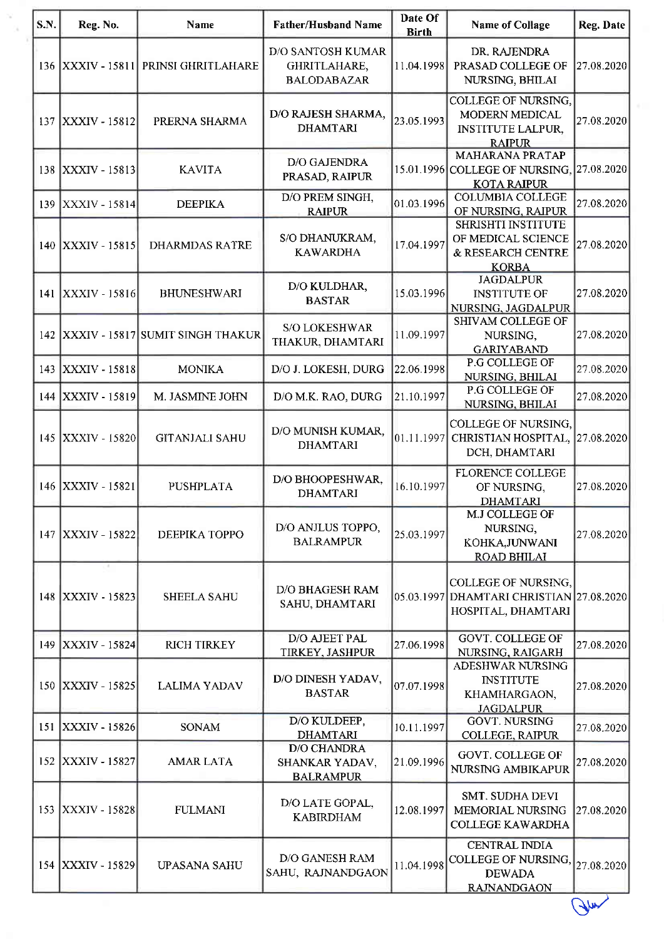| S.N. | Reg. No.             | <b>Name</b>                      | <b>Father/Husband Name</b>                                     | Date Of<br><b>Birth</b> | <b>Name of Collage</b>                                                                           | Reg. Date   |
|------|----------------------|----------------------------------|----------------------------------------------------------------|-------------------------|--------------------------------------------------------------------------------------------------|-------------|
|      | 136 XXXIV - 15811    | PRINSI GHRITLAHARE               | <b>D/O SANTOSH KUMAR</b><br>GHRITLAHARE,<br><b>BALODABAZAR</b> | 11.04.1998              | DR. RAJENDRA<br>PRASAD COLLEGE OF<br>NURSING, BHILAI                                             | 27.08.2020  |
|      | 137 XXXIV - 15812    | PRERNA SHARMA                    | D/O RAJESH SHARMA,<br><b>DHAMTARI</b>                          | 23.05.1993              | <b>COLLEGE OF NURSING,</b><br><b>MODERN MEDICAL</b><br><b>INSTITUTE LALPUR,</b><br><b>RAIPUR</b> | 27.08.2020  |
| 138  | <b>XXXIV - 15813</b> | <b>KAVITA</b>                    | D/O GAJENDRA<br>PRASAD, RAIPUR                                 |                         | <b>MAHARANA PRATAP</b><br>15.01.1996 COLLEGE OF NURSING,<br><b>KOTA RAIPUR</b>                   | 27.08.2020  |
| 139  | <b>XXXIV - 15814</b> | <b>DEEPIKA</b>                   | D/O PREM SINGH,<br><b>RAIPUR</b>                               | [01.03.1996]            | <b>COLUMBIA COLLEGE</b><br>OF NURSING, RAIPUR                                                    | 27.08.2020  |
|      | 140 XXXIV - 15815    | <b>DHARMDAS RATRE</b>            | S/O DHANUKRAM,<br><b>KAWARDHA</b>                              | 17.04.1997              | <b>SHRISHTI INSTITUTE</b><br>OF MEDICAL SCIENCE<br>& RESEARCH CENTRE<br><b>KORBA</b>             | 27.08.2020  |
| 141  | <b>XXXIV - 15816</b> | <b>BHUNESHWARI</b>               | D/O KULDHAR,<br><b>BASTAR</b>                                  | 15.03.1996              | <b>JAGDALPUR</b><br><b>INSTITUTE OF</b><br>NURSING, JAGDALPUR                                    | 27.08.2020  |
| 142  |                      | XXXIV - 15817 SUMIT SINGH THAKUR | <b>S/O LOKESHWAR</b><br>THAKUR, DHAMTARI                       | 11.09.1997              | SHIVAM COLLEGE OF<br>NURSING,<br><b>GARIYABAND</b>                                               | 27.08.2020  |
| 143  | <b>XXXIV - 15818</b> | <b>MONIKA</b>                    | D/O J. LOKESH, DURG                                            | 22.06.1998              | P.G COLLEGE OF<br>NURSING, BHILAI                                                                | 27.08.2020  |
| 144  | XXXIV - 15819        | M. JASMINE JOHN                  | D/O M.K. RAO, DURG                                             | 21.10.1997              | P.G COLLEGE OF<br>NURSING, BHILAI                                                                | 27.08.2020  |
|      | 145 XXXIV - 15820    | <b>GITANJALI SAHU</b>            | D/O MUNISH KUMAR,<br><b>DHAMTARI</b>                           | 01.11.1997              | COLLEGE OF NURSING,<br>CHRISTIAN HOSPITAL,<br>DCH, DHAMTARI                                      | 27.08.2020  |
|      | 146 XXXIV - 15821    | PUSHPLATA                        | D/O BHOOPESHWAR,<br><b>DHAMTARI</b>                            | 16.10.1997              | <b>FLORENCE COLLEGE</b><br>OF NURSING,<br><b>DHAMTARI</b>                                        | 27.08.2020  |
|      | 147   XXXIV - 15822  | DEEPIKA TOPPO                    | D/O ANJLUS TOPPO,<br><b>BALRAMPUR</b>                          | 25.03.1997              | M.J COLLEGE OF<br>NURSING,<br>KOHKA, JUNWANI<br><b>ROAD BHILAI</b>                               | 27.08.2020  |
|      | 148 XXXIV - 15823    | <b>SHEELA SAHU</b>               | <b>D/O BHAGESH RAM</b><br>SAHU, DHAMTARI                       |                         | COLLEGE OF NURSING,<br>05.03.1997 DHAMTARI CHRISTIAN 27.08.2020<br>HOSPITAL, DHAMTARI            |             |
|      | 149 XXXIV - 15824    | <b>RICH TIRKEY</b>               | <b>D/O AJEET PAL</b><br>TIRKEY, JASHPUR                        | 27.06.1998              | <b>GOVT. COLLEGE OF</b><br>NURSING, RAIGARH                                                      | 27.08.2020  |
|      | 150 XXXIV - 15825    | <b>LALIMA YADAV</b>              | D/O DINESH YADAV,<br><b>BASTAR</b>                             | [07.07.1998]            | ADESHWAR NURSING<br><b>INSTITUTE</b><br>KHAMHARGAON,<br><b>JAGDALPUR</b>                         | 27.08.2020  |
|      | 151 XXXIV - 15826    | <b>SONAM</b>                     | D/O KULDEEP,<br><b>DHAMTARI</b>                                | 10.11.1997              | <b>GOVT. NURSING</b><br><b>COLLEGE, RAIPUR</b>                                                   | 27.08.2020  |
| 152  | XXXIV - 15827        | <b>AMAR LATA</b>                 | <b>D/O CHANDRA</b><br>SHANKAR YADAV,<br><b>BALRAMPUR</b>       | 21.09.1996              | <b>GOVT. COLLEGE OF</b><br>NURSING AMBIKAPUR                                                     | 27.08.2020  |
|      | 153   XXXIV - 15828  | <b>FULMANI</b>                   | D/O LATE GOPAL,<br><b>KABIRDHAM</b>                            | 12.08.1997              | <b>SMT. SUDHA DEVI</b><br><b>MEMORIAL NURSING</b><br><b>COLLEGE KAWARDHA</b>                     | 27.08.2020  |
|      | 154   XXXIV - 15829  | <b>UPASANA SAHU</b>              | D/O GANESH RAM<br>SAHU, RAJNANDGAON                            | 11.04.1998              | <b>CENTRAL INDIA</b><br><b>COLLEGE OF NURSING,</b><br><b>DEWADA</b><br><b>RAJNANDGAON</b>        | 27.08.2020  |
|      |                      |                                  |                                                                |                         |                                                                                                  | <b>When</b> |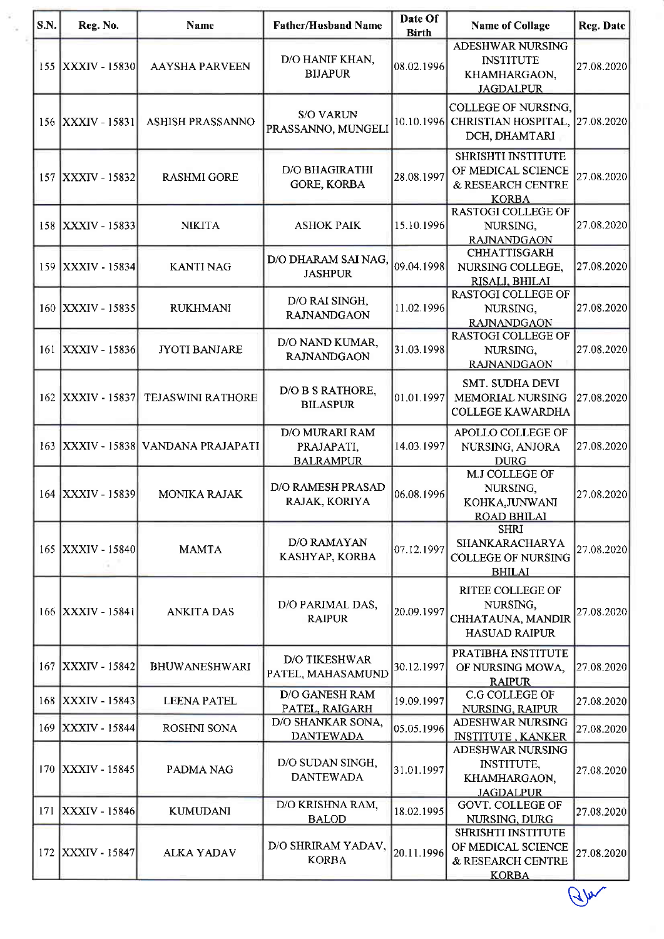| S.N. | Reg. No.             | <b>Name</b>                     | <b>Father/Husband Name</b>                       | Date Of<br><b>Birth</b> | Name of Collage                                                                      | Reg. Date  |
|------|----------------------|---------------------------------|--------------------------------------------------|-------------------------|--------------------------------------------------------------------------------------|------------|
|      | 155 XXXIV - 15830    | <b>AAYSHA PARVEEN</b>           | D/O HANIF KHAN,<br><b>BIJAPUR</b>                | 08.02.1996              | <b>ADESHWAR NURSING</b><br><b>INSTITUTE</b><br>KHAMHARGAON,<br><b>JAGDALPUR</b>      | 27.08.2020 |
|      | 156 XXXIV - 15831    | ASHISH PRASSANNO                | <b>S/O VARUN</b><br>PRASSANNO, MUNGELI           |                         | <b>COLLEGE OF NURSING,</b><br>10.10.1996 CHRISTIAN HOSPITAL,<br>DCH, DHAMTARI        | 27.08.2020 |
|      | 157 XXXIV - 15832    | <b>RASHMI GORE</b>              | <b>D/O BHAGIRATHI</b><br><b>GORE, KORBA</b>      | 28.08.1997              | <b>SHRISHTI INSTITUTE</b><br>OF MEDICAL SCIENCE<br>& RESEARCH CENTRE<br><b>KORBA</b> | 27.08.2020 |
| 158  | XXXIV - 15833        | <b>NIKITA</b>                   | <b>ASHOK PAIK</b>                                | 15.10.1996              | <b>RASTOGI COLLEGE OF</b><br>NURSING,<br><b>RAJNANDGAON</b>                          | 27.08.2020 |
| 159  | XXXIV - 15834        | <b>KANTI NAG</b>                | D/O DHARAM SAI NAG,<br><b>JASHPUR</b>            | 09.04.1998              | <b>CHHATTISGARH</b><br>NURSING COLLEGE,<br>RISALI, BHILAI                            | 27.08.2020 |
| 160  | XXXIV - 15835        | <b>RUKHMANI</b>                 | D/O RAI SINGH,<br><b>RAJNANDGAON</b>             | 11.02.1996              | RASTOGI COLLEGE OF<br>NURSING,<br><b>RAJNANDGAON</b>                                 | 27.08.2020 |
| 161  | <b>XXXIV - 15836</b> | <b>JYOTI BANJARE</b>            | D/O NAND KUMAR,<br><b>RAJNANDGAON</b>            | 31.03.1998              | <b>RASTOGI COLLEGE OF</b><br>NURSING,<br><b>RAJNANDGAON</b>                          | 27.08.2020 |
| 162  | <b>XXXIV - 15837</b> | TEJASWINI RATHORE               | D/O B S RATHORE,<br><b>BILASPUR</b>              | 01.01.1997              | <b>SMT. SUDHA DEVI</b><br>MEMORIAL NURSING<br><b>COLLEGE KAWARDHA</b>                | 27.08.2020 |
| 163  |                      | XXXIV - 15838 VANDANA PRAJAPATI | D/O MURARI RAM<br>PRAJAPATI,<br><b>BALRAMPUR</b> | 14.03.1997              | APOLLO COLLEGE OF<br>NURSING, ANJORA<br><b>DURG</b>                                  | 27.08.2020 |
| 164  | <b>XXXIV - 15839</b> | MONIKA RAJAK                    | D/O RAMESH PRASAD<br>RAJAK, KORIYA               | 06.08.1996              | M.J COLLEGE OF<br>NURSING,<br>KOHKA, JUNWANI<br><b>ROAD BHILAI</b>                   | 27.08.2020 |
|      | 165 XXXIV - 15840    | <b>MAMTA</b>                    | D/O RAMAYAN<br>KASHYAP, KORBA                    | 07.12.1997              | <b>SHRI</b><br>SHANKARACHARYA<br><b>COLLEGE OF NURSING</b><br><b>BHILAI</b>          | 27.08.2020 |
|      | 166 XXXIV - 15841    | <b>ANKITA DAS</b>               | D/O PARIMAL DAS,<br><b>RAIPUR</b>                | 20.09.1997              | <b>RITEE COLLEGE OF</b><br>NURSING,<br>CHHATAUNA, MANDIR<br><b>HASUAD RAIPUR</b>     | 27.08.2020 |
| 167  | XXXIV - 15842        | BHUWANESHWARI                   | <b>D/O TIKESHWAR</b><br>PATEL, MAHASAMUND        | 30.12.1997              | PRATIBHA INSTITUTE<br>OF NURSING MOWA,<br><b>RAIPUR</b>                              | 27.08.2020 |
|      | 168 XXXIV - 15843    | <b>LEENA PATEL</b>              | <b>D/O GANESH RAM</b><br>PATEL, RAIGARH          | 19.09.1997              | C.G COLLEGE OF<br>NURSING, RAIPUR                                                    | 27.08.2020 |
|      | 169 XXXIV - 15844    | ROSHNI SONA                     | D/O SHANKAR SONA,<br><b>DANTEWADA</b>            | 05.05.1996              | ADESHWAR NURSING<br><b>INSTITUTE, KANKER</b>                                         | 27.08.2020 |
|      | 170 XXXIV - 15845    | PADMA NAG                       | D/O SUDAN SINGH,<br><b>DANTEWADA</b>             | 31.01.1997              | ADESHWAR NURSING<br><b>INSTITUTE,</b><br>KHAMHARGAON,<br><b>JAGDALPUR</b>            | 27.08.2020 |
| 171  | XXXIV - 15846        | <b>KUMUDANI</b>                 | D/O KRISHNA RAM,<br><b>BALOD</b>                 | 18.02.1995              | <b>GOVT. COLLEGE OF</b><br>NURSING, DURG                                             | 27.08.2020 |
|      | 172   XXXIV - 15847  | <b>ALKA YADAV</b>               | D/O SHRIRAM YADAV,<br><b>KORBA</b>               | 20.11.1996              | <b>SHRISHTI INSTITUTE</b><br>OF MEDICAL SCIENCE<br>& RESEARCH CENTRE<br><b>KORBA</b> | 27.08.2020 |
|      |                      |                                 |                                                  |                         |                                                                                      | 44         |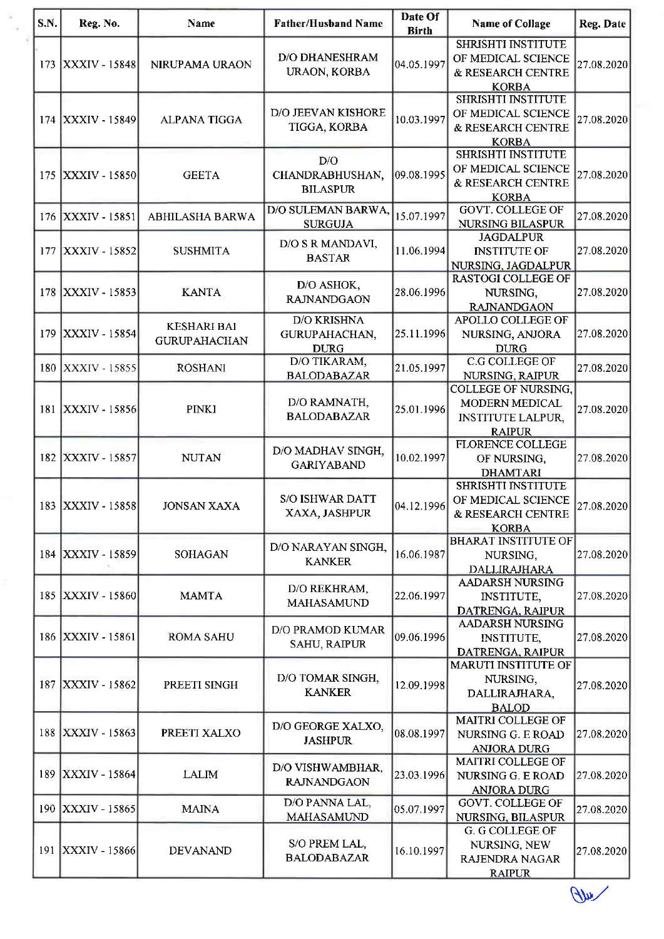| S.N. | Reg. No.             | <b>Name</b>                               | <b>Father/Husband Name</b>                         | Date Of<br><b>Birth</b> | <b>Name of Collage</b>                                                                    | Reg. Date  |
|------|----------------------|-------------------------------------------|----------------------------------------------------|-------------------------|-------------------------------------------------------------------------------------------|------------|
| 173  | <b>XXXIV - 15848</b> | NIRUPAMA URAON                            | <b>D/O DHANESHRAM</b><br>URAON, KORBA              | 04.05.1997              | <b>SHRISHTI INSTITUTE</b><br>OF MEDICAL SCIENCE<br>& RESEARCH CENTRE<br><b>KORBA</b>      | 27.08.2020 |
| 174  | <b>XXXIV - 15849</b> | <b>ALPANA TIGGA</b>                       | D/O JEEVAN KISHORE<br>TIGGA, KORBA                 | 10.03.1997              | <b>SHRISHTI INSTITUTE</b><br>OF MEDICAL SCIENCE<br>& RESEARCH CENTRE<br><b>KORBA</b>      | 27.08.2020 |
| 175  | XXXIV - 15850        | <b>GEETA</b>                              | D/O<br>CHANDRABHUSHAN,<br><b>BILASPUR</b>          | 09.08.1995              | <b>SHRISHTI INSTITUTE</b><br>OF MEDICAL SCIENCE<br>& RESEARCH CENTRE<br><b>KORBA</b>      | 27.08.2020 |
| 176  | <b>XXXIV - 15851</b> | ABHILASHA BARWA                           | D/O SULEMAN BARWA,<br><b>SURGUJA</b>               | 15.07.1997              | <b>GOVT. COLLEGE OF</b><br>NURSING BILASPUR                                               | 27.08.2020 |
| 177  | <b>XXXIV - 15852</b> | <b>SUSHMITA</b>                           | D/O S R MANDAVI,<br><b>BASTAR</b>                  | 11.06.1994              | <b>JAGDALPUR</b><br><b>INSTITUTE OF</b><br>NURSING, JAGDALPUR                             | 27.08.2020 |
| 178  | <b>XXXIV - 15853</b> | <b>KANTA</b>                              | D/O ASHOK,<br><b>RAJNANDGAON</b>                   | 28.06.1996              | <b>RASTOGI COLLEGE OF</b><br>NURSING,<br><b>RAJNANDGAON</b>                               | 27.08.2020 |
| 179  | XXXIV - 15854        | <b>KESHARI BAI</b><br><b>GURUPAHACHAN</b> | <b>D/O KRISHNA</b><br>GURUPAHACHAN,<br><b>DURG</b> | 25.11.1996              | APOLLO COLLEGE OF<br>NURSING, ANJORA<br><b>DURG</b>                                       | 27.08.2020 |
| 180  | XXXIV - 15855        | <b>ROSHANI</b>                            | D/O TIKARAM,<br><b>BALODABAZAR</b>                 | 21.05.1997              | <b>C.G COLLEGE OF</b><br>NURSING, RAIPUR                                                  | 27.08.2020 |
| 181  | <b>XXXIV - 15856</b> | <b>PINKI</b>                              | D/O RAMNATH,<br><b>BALODABAZAR</b>                 | 25.01.1996              | <b>COLLEGE OF NURSING,</b><br>MODERN MEDICAL<br><b>INSTITUTE LALPUR,</b><br><b>RAIPUR</b> | 27.08.2020 |
| 182  | XXXIV - 15857        | <b>NUTAN</b>                              | D/O MADHAV SINGH,<br><b>GARIYABAND</b>             | 10.02.1997              | <b>FLORENCE COLLEGE</b><br>OF NURSING,<br><b>DHAMTARI</b>                                 | 27.08.2020 |
|      | 183 XXXIV - 15858    | <b>JONSAN XAXA</b>                        | <b>S/O ISHWAR DATT</b><br>XAXA, JASHPUR            | 04.12.1996              | SHRISHTI INSTITUTE<br>OF MEDICAL SCIENCE<br>& RESEARCH CENTRE<br><b>KORBA</b>             | 27.08.2020 |
| 184  | XXXIV - 15859        | <b>SOHAGAN</b>                            | D/O NARAYAN SINGH,<br><b>KANKER</b>                | 16.06.1987              | <b>BHARAT INSTITUTE OF</b><br>NURSING,<br><b>DALLIRAJHARA</b>                             | 27.08.2020 |
| 185  | <b>XXXIV - 15860</b> | <b>MAMTA</b>                              | D/O REKHRAM,<br><b>MAHASAMUND</b>                  | 22.06.1997              | <b>AADARSH NURSING</b><br>INSTITUTE,<br>DATRENGA, RAIPUR                                  | 27.08.2020 |
| 186  | <b>XXXIV - 15861</b> | <b>ROMA SAHU</b>                          | <b>D/O PRAMOD KUMAR</b><br><b>SAHU, RAIPUR</b>     | 09.06.1996              | <b>AADARSH NURSING</b><br><b>INSTITUTE,</b><br>DATRENGA, RAIPUR                           | 27.08.2020 |
|      | 187 XXXIV - 15862    | PREETI SINGH                              | D/O TOMAR SINGH,<br><b>KANKER</b>                  | 12.09.1998              | <b>MARUTI INSTITUTE OF</b><br>NURSING,<br>DALLIRAJHARA,<br><b>BALOD</b>                   | 27.08.2020 |
| 188  | <b>XXXIV - 15863</b> | PREETI XALXO                              | D/O GEORGE XALXO,<br><b>JASHPUR</b>                | 08.08.1997              | <b>MAITRI COLLEGE OF</b><br>NURSING G. E ROAD<br><b>ANJORA DURG</b>                       | 27.08.2020 |
|      | 189 XXXIV - 15864    | <b>LALIM</b>                              | D/O VISHWAMBHAR,<br><b>RAJNANDGAON</b>             | 23.03.1996              | MAITRI COLLEGE OF<br><b>NURSING G. E ROAD</b><br><b>ANJORA DURG</b>                       | 27.08.2020 |
|      | 190 XXXIV - 15865    | <b>MAINA</b>                              | D/O PANNA LAL,<br>MAHASAMUND                       | 05.07.1997              | <b>GOVT. COLLEGE OF</b><br>NURSING, BILASPUR                                              | 27.08.2020 |
|      | 191 XXXIV - 15866    | <b>DEVANAND</b>                           | S/O PREM LAL,<br><b>BALODABAZAR</b>                | 16.10.1997              | G. G COLLEGE OF<br>NURSING, NEW<br><b>RAJENDRA NAGAR</b><br><b>RAIPUR</b>                 | 27.08.2020 |

 $\mathbb{U}$